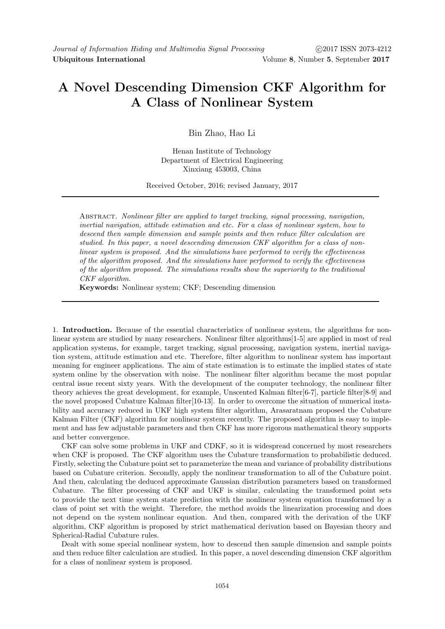## A Novel Descending Dimension CKF Algorithm for A Class of Nonlinear System

Bin Zhao, Hao Li

Henan Institute of Technology Department of Electrical Engineering Xinxiang 453003, China

Received October, 2016; revised January, 2017

Abstract. Nonlinear filter are applied to target tracking, signal processing, navigation, inertial navigation, attitude estimation and etc. For a class of nonlinear system, how to descend then sample dimension and sample points and then reduce filter calculation are studied. In this paper, a novel descending dimension CKF algorithm for a class of nonlinear system is proposed. And the simulations have performed to verify the effectiveness of the algorithm proposed. And the simulations have performed to verify the effectiveness of the algorithm proposed. The simulations results show the superiority to the traditional CKF algorithm.

Keywords: Nonlinear system; CKF; Descending dimension

1. Introduction. Because of the essential characteristics of nonlinear system, the algorithms for nonlinear system are studied by many researchers. Nonlinear filter algorithms[1-5] are applied in most of real application systems, for example, target tracking, signal processing, navigation system, inertial navigation system, attitude estimation and etc. Therefore, filter algorithm to nonlinear system has important meaning for engineer applications. The aim of state estimation is to estimate the implied states of state system online by the observation with noise. The nonlinear filter algorithm became the most popular central issue recent sixty years. With the development of the computer technology, the nonlinear filter theory achieves the great development, for example, Unscented Kalman filter[6-7], particle filter[8-9] and the novel proposed Cubature Kalman filter[10-13]. In order to overcome the situation of numerical instability and accuracy reduced in UKF high system filter algorithm, Arasaratnam proposed the Cubature Kalman Filter (CKF) algorithm for nonlinear system recently. The proposed algorithm is easy to implement and has few adjustable parameters and then CKF has more rigorous mathematical theory supports and better convergence.

CKF can solve some problems in UKF and CDKF, so it is widespread concerned by most researchers when CKF is proposed. The CKF algorithm uses the Cubature transformation to probabilistic deduced. Firstly, selecting the Cubature point set to parameterize the mean and variance of probability distributions based on Cubature criterion. Secondly, apply the nonlinear transformation to all of the Cubature point. And then, calculating the deduced approximate Gaussian distribution parameters based on transformed Cubature. The filter processing of CKF and UKF is similar, calculating the transformed point sets to provide the next time system state prediction with the nonlinear system equation transformed by a class of point set with the weight. Therefore, the method avoids the linearization processing and does not depend on the system nonlinear equation. And then, compared with the derivation of the UKF algorithm, CKF algorithm is proposed by strict mathematical derivation based on Bayesian theory and Spherical-Radial Cubature rules.

Dealt with some special nonlinear system, how to descend then sample dimension and sample points and then reduce filter calculation are studied. In this paper, a novel descending dimension CKF algorithm for a class of nonlinear system is proposed.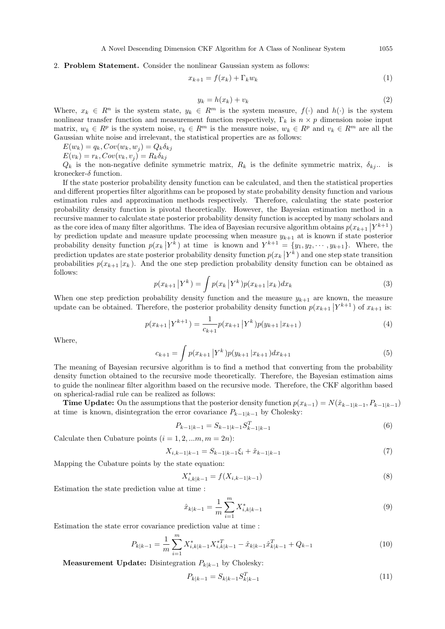## 2. Problem Statement. Consider the nonlinear Gaussian system as follows:

$$
x_{k+1} = f(x_k) + \Gamma_k w_k \tag{1}
$$

$$
y_k = h(x_k) + v_k \tag{2}
$$

Where,  $x_k \in R^n$  is the system state,  $y_k \in R^m$  is the system measure,  $f(\cdot)$  and  $h(\cdot)$  is the system nonlinear transfer function and measurement function respectively,  $\Gamma_k$  is  $n \times p$  dimension noise input matrix,  $w_k \in R^p$  is the system noise,  $v_k \in R^m$  is the measure noise,  $w_k \in R^p$  and  $v_k \in R^m$  are all the Gaussian white noise and irrelevant, the statistical properties are as follows:

 $E(w_k) = q_k$ ,  $Cov(w_k, w_j) = Q_k \delta_{kj}$ 

 $E(v_k) = r_k$ ,  $Cov(v_k, v_j) = R_k \delta_{kj}$ 

 $Q_k$  is the non-negative definite symmetric matrix,  $R_k$  is the definite symmetric matrix,  $\delta_{kj}$ .. is kronecker- $\delta$  function.

If the state posterior probability density function can be calculated, and then the statistical properties and different properties filter algorithms can be proposed by state probability density function and various estimation rules and approximation methods respectively. Therefore, calculating the state posterior probability density function is pivotal theoretically. However, the Bayesian estimation method in a recursive manner to calculate state posterior probability density function is accepted by many scholars and as the core idea of many filter algorithms. The idea of Bayesian recursive algorithm obtains  $p(x_{k+1} | Y^{k+1})$ by prediction update and measure update processing when measure  $y_{k+1}$  at is known if state posterior probability density function  $p(x_k | Y^k)$  at time is known and  $Y^{k+1} = \{y_1, y_2, \dots, y_{k+1}\}.$  Where, the prediction updates are state posterior probability density function  $p(x_k | Y^k)$  and one step state transition probabilities  $p(x_{k+1} | x_k)$ . And the one step prediction probability density function can be obtained as follows:

$$
p(x_{k+1} | Y^k) = \int p(x_k | Y^k) p(x_{k+1} | x_k) dx_k
$$
\n(3)

When one step prediction probability density function and the measure  $y_{k+1}$  are known, the measure update can be obtained. Therefore, the posterior probability density function  $p(x_{k+1} | Y^{k+1})$  of  $x_{k+1}$  is:

$$
p(x_{k+1} | Y^{k+1}) = \frac{1}{c_{k+1}} p(x_{k+1} | Y^k) p(y_{k+1} | x_{k+1})
$$
\n(4)

Where,

$$
c_{k+1} = \int p(x_{k+1} | Y^k) p(y_{k+1} | x_{k+1}) dx_{k+1}
$$
\n(5)

The meaning of Bayesian recursive algorithm is to find a method that converting from the probability density function obtained to the recursive mode theoretically. Therefore, the Bayesian estimation aims to guide the nonlinear filter algorithm based on the recursive mode. Therefore, the CKF algorithm based on spherical-radial rule can be realized as follows:

**Time Update:** On the assumptions that the posterior density function  $p(x_{k-1}) = N(\hat{x}_{k-1|k-1}, P_{k-1|k-1})$ at time is known, disintegration the error covariance  $P_{k-1|k-1}$  by Cholesky:

$$
P_{k-1|k-1} = S_{k-1|k-1} S_{k-1|k-1}^T
$$
\n(6)

Calculate then Cubature points  $(i = 1, 2, ..., m, m = 2n)$ :

$$
X_{i,k-1|k-1} = S_{k-1|k-1}\xi_i + \hat{x}_{k-1|k-1} \tag{7}
$$

Mapping the Cubature points by the state equation:

$$
X_{i,k|k-1}^* = f(X_{i,k-1|k-1})
$$
\n(8)

Estimation the state prediction value at time :

$$
\hat{x}_{k|k-1} = \frac{1}{m} \sum_{i=1}^{m} X_{i,k|k-1}^* \tag{9}
$$

Estimation the state error covariance prediction value at time :

$$
P_{k|k-1} = \frac{1}{m} \sum_{i=1}^{m} X_{i,k|k-1}^* X_{i,k|k-1}^{*T} - \hat{x}_{k|k-1} \hat{x}_{k|k-1}^T + Q_{k-1}
$$
(10)

Measurement Update: Disintegration  $P_{k|k-1}$  by Cholesky:

$$
P_{k|k-1} = S_{k|k-1} S_{k|k-1}^T
$$
\n(11)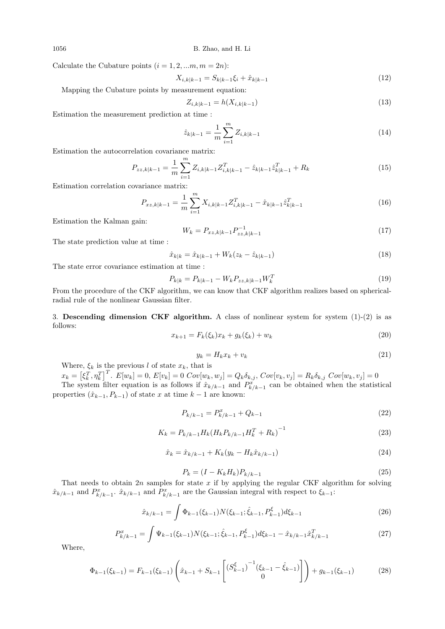1056 B. Zhao, and H. Li

Calculate the Cubature points  $(i = 1, 2, ..., m, m = 2n)$ :

$$
X_{i,k|k-1} = S_{k|k-1}\xi_i + \hat{x}_{k|k-1} \tag{12}
$$

Mapping the Cubature points by measurement equation:

$$
Z_{i,k|k-1} = h(X_{i,k|k-1})
$$
\n(13)

Estimation the measurement prediction at time :

$$
\hat{z}_{k|k-1} = \frac{1}{m} \sum_{i=1}^{m} Z_{i,k|k-1}
$$
\n(14)

Estimation the autocorrelation covariance matrix:

$$
P_{zz,k|k-1} = \frac{1}{m} \sum_{i=1}^{m} Z_{i,k|k-1} Z_{i,k|k-1}^T - \hat{z}_{k|k-1} \hat{z}_{k|k-1}^T + R_k
$$
\n(15)

Estimation correlation covariance matrix:

$$
P_{xz,k|k-1} = \frac{1}{m} \sum_{i=1}^{m} X_{i,k|k-1} Z_{i,k|k-1}^T - \hat{x}_{k|k-1} \hat{z}_{k|k-1}^T
$$
\n(16)

Estimation the Kalman gain:

$$
W_k = P_{xz,k|k-1} P_{zz,k|k-1}^{-1}
$$
\n(17)

The state prediction value at time :

$$
\hat{x}_{k|k} = \hat{x}_{k|k-1} + W_k(z_k - \hat{z}_{k|k-1})
$$
\n(18)

The state error covariance estimation at time :

$$
P_{k|k} = P_{k|k-1} - W_k P_{zz,k|k-1} W_k^T
$$
\n(19)

From the procedure of the CKF algorithm, we can know that CKF algorithm realizes based on sphericalradial rule of the nonlinear Gaussian filter.

3. Descending dimension CKF algorithm. A class of nonlinear system for system  $(1)-(2)$  is as follows:

$$
x_{k+1} = F_k(\xi_k)x_k + g_k(\xi_k) + w_k
$$
\n(20)

$$
y_k = H_k x_k + v_k \tag{21}
$$

Where,  $\xi_k$  is the previous l of state  $x_k$ , that is

$$
x_k = \left[\xi_k^T, \eta_k^T\right]^T. \ E[w_k] = 0, \ E[v_k] = 0 \ Cov[w_k, w_j] = Q_k \delta_{k,j}, \ Cov[v_k, v_j] = R_k \delta_{k,j} \ Cov[w_k, v_j] = 0
$$

 $k = [S_k, \eta_k]$  :  $E[w_k] = 0$ ,  $E[v_k] = 0$  Co $v_i(w_k, w_j] = \mathcal{C}_k v_{k,j}$ , Co $v_i(v_k, v_j] = n_k v_{k,j}$  Co $v_i(w_k, v_j] = 0$ <br>The system filter equation is as follows if  $\hat{x}_{k/k-1}$  and  $P_{k/k-1}^x$  can be obtained when the statistical properties  $(\hat{x}_{k-1}, P_{k-1})$  of state x at time  $k-1$  are known:

$$
P_{k/k-1} = P_{k/k-1}^x + Q_{k-1}
$$
\n(22)

$$
K_k = P_{k/k-1} H_k (H_k P_{k/k-1} H_k^T + R_k)^{-1}
$$
\n(23)

$$
\hat{x}_k = \hat{x}_{k/k-1} + K_k(y_k - H_k \hat{x}_{k/k-1})
$$
\n(24)

$$
P_k = (I - K_k H_k) P_{k/k - 1}
$$
\n(25)

That needs to obtain  $2n$  samples for state x if by applying the regular CKF algorithm for solving  $\hat{x}_{k/k-1}$  and  $P_{k/k-1}^x$ ,  $\hat{x}_{k/k-1}$  and  $P_{k/k-1}^x$  are the Gaussian integral with respect to  $\xi_{k-1}$ :

$$
\hat{x}_{k/k-1} = \int \Phi_{k-1}(\xi_{k-1}) N(\xi_{k-1}; \hat{\xi}_{k-1}, P_{k-1}^{\xi}) d\xi_{k-1}
$$
\n(26)

$$
P_{k/k-1}^{x} = \int \Psi_{k-1}(\xi_{k-1}) N(\xi_{k-1}; \hat{\xi}_{k-1}, P_{k-1}^{\xi}) d\xi_{k-1} - \hat{x}_{k/k-1} \hat{x}_{k/k-1}^{T}
$$
(27)

Where,

$$
\Phi_{k-1}(\xi_{k-1}) = F_{k-1}(\xi_{k-1}) \left( \hat{x}_{k-1} + S_{k-1} \begin{bmatrix} (S_{k-1}^{\xi})^{-1} (\xi_{k-1} - \hat{\xi}_{k-1}) \\ 0 \end{bmatrix} \right) + g_{k-1}(\xi_{k-1}) \tag{28}
$$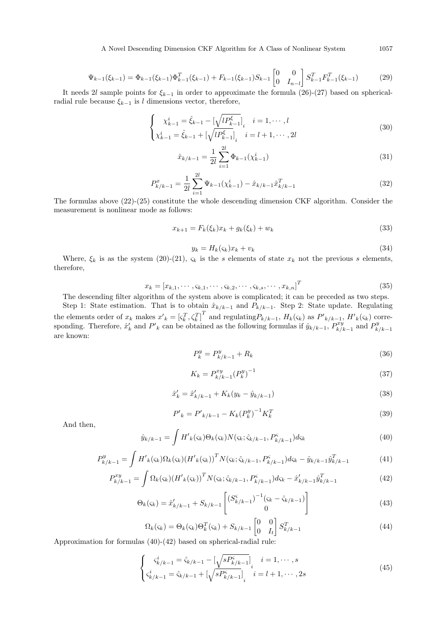A Novel Descending Dimension CKF Algorithm for A Class of Nonlinear System 1057

$$
\Psi_{k-1}(\xi_{k-1}) = \Phi_{k-1}(\xi_{k-1})\Phi_{k-1}^T(\xi_{k-1}) + F_{k-1}(\xi_{k-1})S_{k-1} \begin{bmatrix} 0 & 0 \ 0 & I_{n-l} \end{bmatrix} S_{k-1}^T F_{k-1}^T(\xi_{k-1})
$$
(29)

It needs 2l sample points for  $\xi_{k-1}$  in order to approximate the formula (26)-(27) based on sphericalradial rule because  $\xi_{k-1}$  is l dimensions vector, therefore,

$$
\begin{cases} \chi_{k-1}^{i} = \hat{\xi}_{k-1} - \left[ \sqrt{l P_{k-1}^{\xi}} \right]_{i} & i = 1, \cdots, l \\ \chi_{k-1}^{i} = \hat{\xi}_{k-1} + \left[ \sqrt{l P_{k-1}^{\xi}} \right]_{i} & i = l+1, \cdots, 2l \end{cases}
$$
\n(30)

$$
\hat{x}_{k/k-1} = \frac{1}{2l} \sum_{i=1}^{2l} \Phi_{k-1}(\chi_{k-1}^i)
$$
\n(31)

$$
P_{k/k-1}^x = \frac{1}{2l} \sum_{i=1}^{2l} \Psi_{k-1}(\chi_{k-1}^i) - \hat{x}_{k/k-1}\hat{x}_{k/k-1}^T
$$
 (32)

The formulas above (22)-(25) constitute the whole descending dimension CKF algorithm. Consider the measurement is nonlinear mode as follows:

$$
x_{k+1} = F_k(\xi_k)x_k + g_k(\xi_k) + w_k
$$
\n(33)

$$
y_k = H_k(\varsigma_k)x_k + v_k \tag{34}
$$

Where,  $\xi_k$  is as the system (20)-(21),  $\varsigma_k$  is the s elements of state  $x_k$  not the previous s elements, therefore,

$$
x_k = [x_{k,1}, \cdots, s_{k,1}, \cdots, s_{k,2}, \cdots, s_{k,s}, \cdots, x_{k,n}]^T
$$
\n(35)

The descending filter algorithm of the system above is complicated; it can be preceded as two steps. Step 1: State estimation. That is to obtain  $\hat{x}_{k/k-1}$  and  $\hat{P}_{k/k-1}$ . Step 2: State update. Regulating the elements order of  $x_k$  makes  $x'_k = [\zeta_k^T, \zeta_k^T]^T$  and regulating  $P_{k/k-1}$ ,  $H_k(\zeta_k)$  as  $P'_{k/k-1}$ ,  $H'_{k}(\zeta_k)$  corresponding. Therefore,  $\hat{x}'_k$  and  $P'_{k}$  can be obtained as the following formulas if  $\hat{y}_{k/k-1}, P^{xy}_{k/k}$  $\sum_{k/k-1}^{xy}$  and  $P_k^y$  $k/k-1$ are known:

$$
P_k^y = P_{k/k-1}^y + R_k \tag{36}
$$

$$
K_k = P_{k/k-1}^{xy} (P_k^y)^{-1}
$$
\n(37)

$$
\hat{x}'_k = \hat{x}'_{k/k-1} + K_k(y_k - \hat{y}_{k/k-1})
$$
\n(38)

$$
P'_{k} = P'_{k/k-1} - K_{k} (P_{k}^{y})^{-1} K_{k}^{T}
$$
\n(39)

And then,

$$
\hat{y}_{k/k-1} = \int H'_{k}(\varsigma_{k}) \Theta_{k}(\varsigma_{k}) N(\varsigma_{k}; \hat{\varsigma}_{k/k-1}, P_{k/k-1}^{\varsigma}) d\varsigma_{k}
$$
\n(40)

$$
P_{k/k-1}^{y} = \int H'_{k}(\varsigma_{k}) \Omega_{k}(\varsigma_{k}) (H'_{k}(\varsigma_{k}))^{T} N(\varsigma_{k}; \hat{\varsigma}_{k/k-1}, P_{k/k-1}^{\varsigma}) d\varsigma_{k} - \hat{y}_{k/k-1} \hat{y}_{k/k-1}^{T}
$$
(41)

$$
P_{k/k-1}^{xy} = \int \Omega_k(\varsigma_k) (H'_{k}(\varsigma_k))^T N(\varsigma_k; \hat{\varsigma}_{k/k-1}, P_{k/k-1}^{\varsigma}) d\varsigma_k - \hat{x}_{k/k-1}^{\prime} \hat{y}_{k/k-1}^T
$$
(42)

$$
\Theta_k(\varsigma_k) = \hat{x}'_{k/k-1} + S_{k/k-1} \begin{bmatrix} (S^{\varsigma}_{k/k-1})^{-1} (\varsigma_k - \hat{\varsigma}_{k/k-1})\\ 0 \end{bmatrix}
$$
(43)

$$
\Omega_k(\varsigma_k) = \Theta_k(\varsigma_k)\Theta_k^T(\varsigma_k) + S_{k/k-1} \begin{bmatrix} 0 & 0 \\ 0 & I_t \end{bmatrix} S_{k/k-1}^T
$$
\n(44)

Approximation for formulas (40)-(42) based on spherical-radial rule:

$$
\begin{cases}\n\varsigma_{k/k-1}^{i} = \hat{\varsigma}_{k/k-1} - \left[\sqrt{sP_{k/k-1}^{s}}\right]_{i} & i = 1, \cdots, s \\
\varsigma_{k/k-1}^{i} = \hat{\varsigma}_{k/k-1} + \left[\sqrt{sP_{k/k-1}^{s}}\right]_{i} & i = l+1, \cdots, 2s\n\end{cases}
$$
\n(45)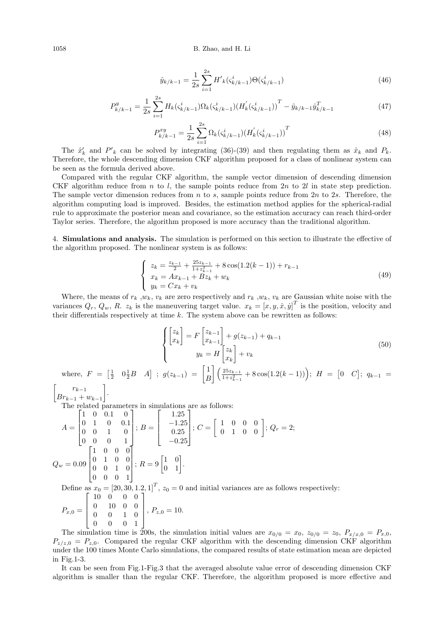$$
\hat{y}_{k/k-1} = \frac{1}{2s} \sum_{i=1}^{2s} H'_{k}(\zeta_{k/k-1}^{i}) \Theta(\zeta_{k/k-1}^{i})
$$
\n(46)

$$
P_{k/k-1}^{y} = \frac{1}{2s} \sum_{i=1}^{2s} H_k(\varsigma_{k/k-1}^{i}) \Omega_k(\varsigma_{k/k-1}^{i}) (H_k'(\varsigma_{k/k-1}^{i}))^T - \hat{y}_{k/k-1} \hat{y}_{k/k-1}^T
$$
\n(47)

$$
P_{k/k-1}^{xy} = \frac{1}{2s} \sum_{i=1}^{2s} \Omega_k(\zeta_{k/k-1}^i) (H_k'(\zeta_{k/k-1}^i))^T
$$
\n(48)

The  $\hat{x}'_k$  and  $P'_{k}$  can be solved by integrating (36)-(39) and then regulating them as  $\hat{x}_k$  and  $P_k$ . Therefore, the whole descending dimension CKF algorithm proposed for a class of nonlinear system can be seen as the formula derived above.

Compared with the regular CKF algorithm, the sample vector dimension of descending dimension CKF algorithm reduce from n to l, the sample points reduce from  $2n$  to  $2l$  in state step prediction. The sample vector dimension reduces from  $n$  to  $s$ , sample points reduce from  $2n$  to  $2s$ . Therefore, the algorithm computing load is improved. Besides, the estimation method applies for the spherical-radial rule to approximate the posterior mean and covariance, so the estimation accuracy can reach third-order Taylor series. Therefore, the algorithm proposed is more accuracy than the traditional algorithm.

4. Simulations and analysis. The simulation is performed on this section to illustrate the effective of the algorithm proposed. The nonlinear system is as follows:

$$
\begin{cases}\nz_k = \frac{z_{k-1}}{2} + \frac{25z_{k-1}}{1+z_{k-1}^2} + 8\cos(1.2(k-1)) + r_{k-1} \\
x_k = Ax_{k-1} + Bz_k + w_k \\
y_k = Cx_k + v_k\n\end{cases} \tag{49}
$$

Where, the means of  $r_k, w_k, v_k$  are zero respectively and  $r_k, w_k, v_k$  are Gaussian white noise with the variances  $Q_r, Q_w, R$ .  $z_k$  is the maneuvering target value.  $x_k = [x, y, \dot{x}, \dot{y}]^T$  is the position, velocity and their differentials respectively at time  $k$ . The system above can be rewritten as follows:

$$
\begin{cases}\n\begin{bmatrix}\nz_k \\
x_k\n\end{bmatrix} = F\begin{bmatrix}\nz_{k-1} \\
x_{k-1}\n\end{bmatrix} + g(z_{k-1}) + q_{k-1} \\
y_k = H\begin{bmatrix}\nz_k \\
x_k\n\end{bmatrix} + v_k\n\end{cases}
$$
\n(50)

where,  $F = \begin{bmatrix} \frac{1}{2} & 0 \frac{1}{2}B & A \end{bmatrix}$ ;  $g(z_{k-1}) = \begin{bmatrix} 1 \\ F \end{bmatrix}$ B  $\left( \frac{25z_{k-1}}{25z_{k-1}} \right)$  $\frac{25z_{k-1}}{1+z_{k-1}^2} + 8\cos(1.2(k-1))$ ;  $H = [0 \ C]$ ;  $q_{k-1} =$  $r_{k-1}$  |

 $\lceil$  $Br_{k-1} + w_{k-1}$ .

The related parameters in simulations are as follows:

$$
A = \begin{bmatrix} 1 & 0 & 0.1 & 0 \\ 0 & 1 & 0 & 0.1 \\ 0 & 0 & 1 & 0 \\ 0 & 0 & 0 & 1 \end{bmatrix}; B = \begin{bmatrix} 1.25 \\ -1.25 \\ 0.25 \\ -0.25 \end{bmatrix}; C = \begin{bmatrix} 1 & 0 & 0 & 0 \\ 0 & 1 & 0 & 0 \\ 0 & 1 & 0 & 0 \end{bmatrix}; Q_r = 2;
$$
  

$$
Q_w = 0.09 \begin{bmatrix} 1 & 0 & 0 & 0 \\ 0 & 1 & 0 & 0 \\ 0 & 0 & 1 & 0 \\ 0 & 0 & 0 & 1 \end{bmatrix}; R = 9 \begin{bmatrix} 1 & 0 \\ 0 & 1 \end{bmatrix}.
$$

Define as  $x_0 = [20, 30, 1.2, 1]^T$ ,  $z_0 = 0$  and initial variances are as follows respectively:  $\begin{bmatrix} 10 & 0 & 0 & 0 \end{bmatrix}$ 

$$
P_{x,0} = \left[ \begin{array}{rrr} 0 & 10 & 0 & 0 \\ 0 & 0 & 1 & 0 \\ 0 & 0 & 0 & 1 \end{array} \right], P_{z,0} = 10.
$$

The simulation time is 200s, the simulation initial values are  $x_{0/0} = x_0$ ,  $z_{0/0} = z_0$ ,  $P_{x/x,0} = P_{x,0}$ ,  $P_{z/z,0} = P_{z,0}$ . Compared the regular CKF algorithm with the descending dimension CKF algorithm under the 100 times Monte Carlo simulations, the compared results of state estimation mean are depicted in Fig.1-3.

It can be seen from Fig.1-Fig.3 that the averaged absolute value error of descending dimension CKF algorithm is smaller than the regular CKF. Therefore, the algorithm proposed is more effective and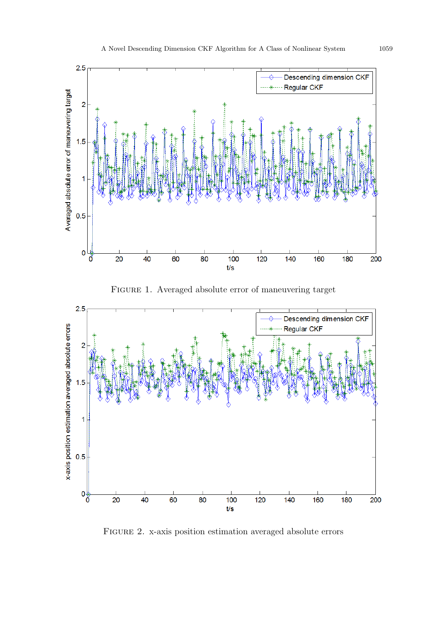

Figure 2. x-axis position estimation averaged absolute errors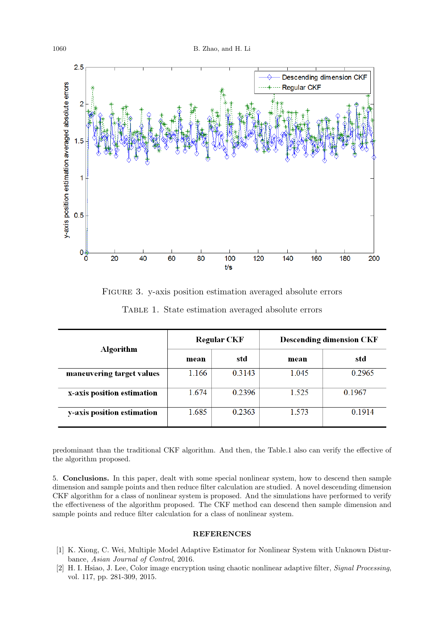

Figure 3. y-axis position estimation averaged absolute errors

| Algorithm                  | <b>Regular CKF</b> |        | <b>Descending dimension CKF</b> |        |
|----------------------------|--------------------|--------|---------------------------------|--------|
|                            | mean               | std    | mean                            | std    |
| maneuvering target values  | 1.166              | 0.3143 | 1.045                           | 0.2965 |
| x-axis position estimation | 1.674              | 0.2396 | 1.525                           | 0.1967 |
| y-axis position estimation | 1.685              | 0.2363 | 1.573                           | 0.1914 |

predominant than the traditional CKF algorithm. And then, the Table.1 also can verify the effective of the algorithm proposed.

5. Conclusions. In this paper, dealt with some special nonlinear system, how to descend then sample dimension and sample points and then reduce filter calculation are studied. A novel descending dimension CKF algorithm for a class of nonlinear system is proposed. And the simulations have performed to verify the effectiveness of the algorithm proposed. The CKF method can descend then sample dimension and sample points and reduce filter calculation for a class of nonlinear system.

## REFERENCES

- [1] K. Xiong, C. Wei, Multiple Model Adaptive Estimator for Nonlinear System with Unknown Disturbance, Asian Journal of Control, 2016.
- [2] H. I. Hsiao, J. Lee, Color image encryption using chaotic nonlinear adaptive filter, Signal Processing, vol. 117, pp. 281-309, 2015.